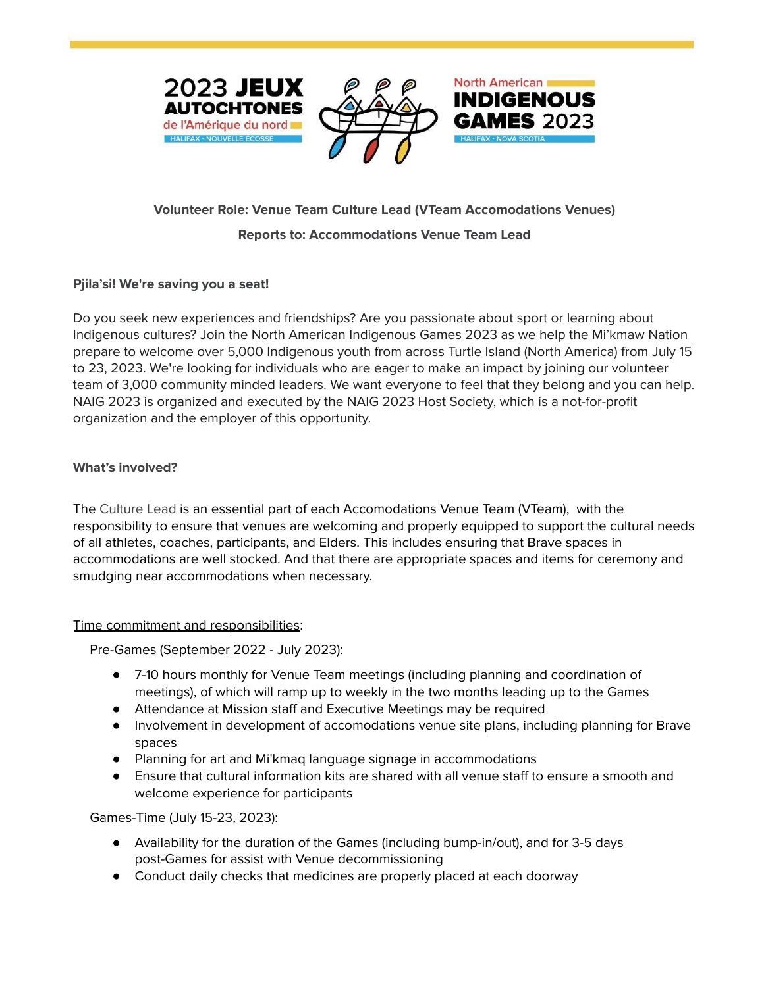



North American

**INDIGENOUS** 

# **Volunteer Role: Venue Team Culture Lead (VTeam Accomodations Venues)**

#### **Reports to: Accommodations Venue Team Lead**

# **Pjila'si! We're saving you a seat!**

Do you seek new experiences and friendships? Are you passionate about sport or learning about Indigenous cultures? Join the North American Indigenous Games 2023 as we help the Mi'kmaw Nation prepare to welcome over 5,000 Indigenous youth from across Turtle Island (North America) from July 15 to 23, 2023. We're looking for individuals who are eager to make an impact by joining our volunteer team of 3,000 community minded leaders. We want everyone to feel that they belong and you can help. NAIG 2023 is organized and executed by the NAIG 2023 Host Society, which is a not-for-profit organization and the employer of this opportunity.

#### **What's involved?**

The Culture Lead is an essential part of each Accomodations Venue Team (VTeam), with the responsibility to ensure that venues are welcoming and properly equipped to support the cultural needs of all athletes, coaches, participants, and Elders. This includes ensuring that Brave spaces in accommodations are well stocked. And that there are appropriate spaces and items for ceremony and smudging near accommodations when necessary.

#### Time commitment and responsibilities:

Pre-Games (September 2022 - July 2023):

- 7-10 hours monthly for Venue Team meetings (including planning and coordination of meetings), of which will ramp up to weekly in the two months leading up to the Games
- Attendance at Mission staff and Executive Meetings may be required
- Involvement in development of accomodations venue site plans, including planning for Brave spaces
- Planning for art and Mi'kmaq language signage in accommodations
- Ensure that cultural information kits are shared with all venue staff to ensure a smooth and welcome experience for participants

Games-Time (July 15-23, 2023):

- Availability for the duration of the Games (including bump-in/out), and for 3-5 days post-Games for assist with Venue decommissioning
- Conduct daily checks that medicines are properly placed at each doorway